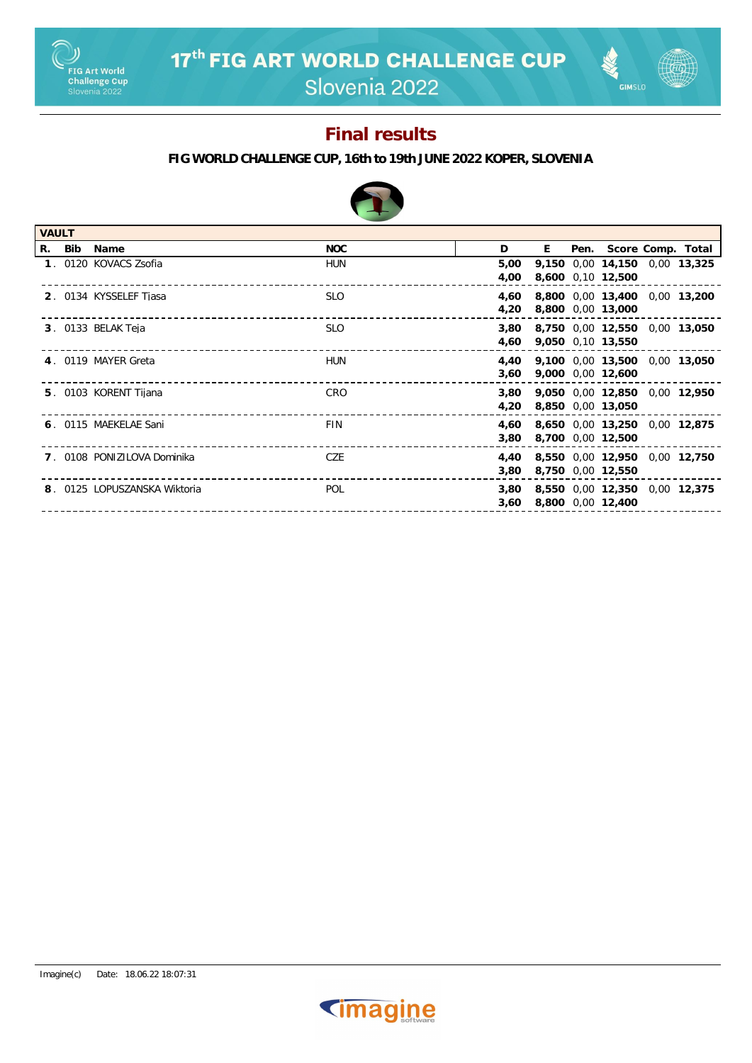

**GIMSLO** 

## **Final results**



| <b>VAULT</b> |        |                              |            |      |   |  |                               |  |  |
|--------------|--------|------------------------------|------------|------|---|--|-------------------------------|--|--|
|              | R. Bib | Name                         | NOC        | D    | E |  | Pen. Score Comp. Total        |  |  |
|              |        | 1. 0120 KOVACS Zsofia        | HUN        | 5,00 |   |  | 9,150 0,00 14,150 0,00 13,325 |  |  |
|              |        |                              |            | 4,00 |   |  | 8,600 0,10 12,500             |  |  |
|              |        | 2. 0134 KYSSELEF Tjasa       | <b>SLO</b> | 4,60 |   |  | 8,800 0,00 13,400 0,00 13,200 |  |  |
|              |        |                              |            | 4,20 |   |  | 8,800 0,00 13,000             |  |  |
|              |        | 3. 0133 BELAK Teja           | <b>SLO</b> | 3,80 |   |  | 8,750 0,00 12,550 0,00 13,050 |  |  |
|              |        |                              |            | 4,60 |   |  | 9,050 0,10 13,550             |  |  |
|              |        | 4. 0119 MAYER Greta          | <b>HUN</b> | 4.40 |   |  | 9,100 0,00 13,500 0,00 13,050 |  |  |
|              |        |                              |            | 3,60 |   |  | 9,000 0,00 12,600             |  |  |
|              |        | 5. 0103 KORENT Tijana        | CRO        | 3,80 |   |  | 9.050 0.00 12.850 0.00 12.950 |  |  |
|              |        |                              |            | 4,20 |   |  | 8,850 0,00 13,050             |  |  |
|              |        | 6. 0115 MAEKELAE Sani        | <b>FIN</b> | 4.60 |   |  | 8,650 0,00 13,250 0,00 12,875 |  |  |
|              |        |                              |            | 3,80 |   |  | 8,700 0,00 12,500             |  |  |
|              |        | 7. 0108 PONIZILOVA Dominika  | CZE        | 4.40 |   |  | 8,550 0,00 12,950 0,00 12,750 |  |  |
|              |        |                              |            | 3,80 |   |  | 8,750 0,00 12,550             |  |  |
|              |        | 8. 0125 LOPUSZANSKA Wiktoria | <b>POL</b> | 3,80 |   |  | 8,550 0,00 12,350 0,00 12,375 |  |  |
|              |        |                              |            | 3,60 |   |  | 8,800 0,00 12,400             |  |  |
|              |        |                              |            |      |   |  |                               |  |  |

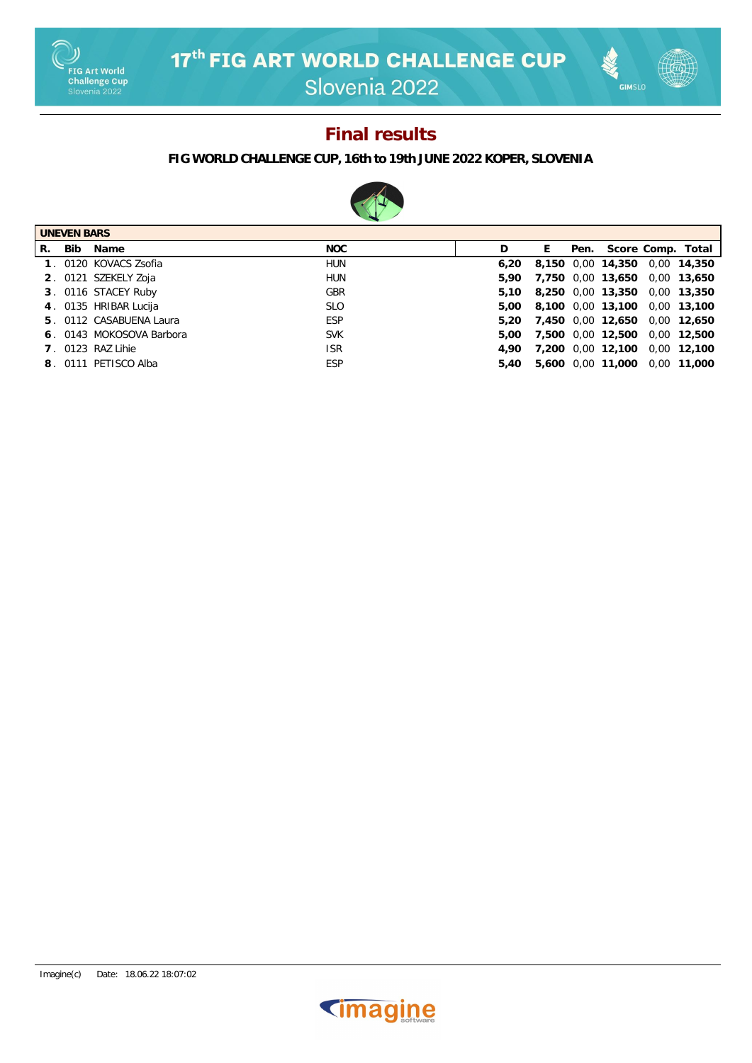

**GIMSLO** 

## **Final results**



| <b>UNEVEN BARS</b> |     |                          |            |      |    |      |                               |  |                   |
|--------------------|-----|--------------------------|------------|------|----|------|-------------------------------|--|-------------------|
| R.                 | Bib | Name                     | NOC        | D    | E. | Pen. |                               |  | Score Comp. Total |
|                    |     | 1. 0120 KOVACS Zsofia    | <b>HUN</b> | 6.20 |    |      | 8,150 0,00 14,350 0,00 14,350 |  |                   |
|                    |     | 2. 0121 SZEKELY Zoja     | HUN        | 5.90 |    |      | 7,750 0,00 13,650 0,00 13,650 |  |                   |
|                    |     | 3. 0116 STACEY Ruby      | <b>GBR</b> | 5.10 |    |      | 8,250 0,00 13,350 0,00 13,350 |  |                   |
|                    |     | 4. 0135 HRIBAR Lucija    | <b>SLO</b> | 5.00 |    |      | 8,100 0,00 13,100 0,00 13,100 |  |                   |
|                    |     | 5. 0112 CASABUENA Laura  | ESP        | 5.20 |    |      | 7,450 0,00 12,650 0,00 12,650 |  |                   |
|                    |     | 6. 0143 MOKOSOVA Barbora | <b>SVK</b> | 5.00 |    |      | 7,500 0,00 12,500 0,00 12,500 |  |                   |
|                    |     | 7. 0123 RAZ Lihie        | <b>ISR</b> | 4.90 |    |      | 7,200 0,00 12,100 0,00 12,100 |  |                   |
|                    |     | 8. 0111 PETISCO Alba     | <b>ESP</b> | 5.40 |    |      | 5,600 0.00 11,000 0.00 11,000 |  |                   |

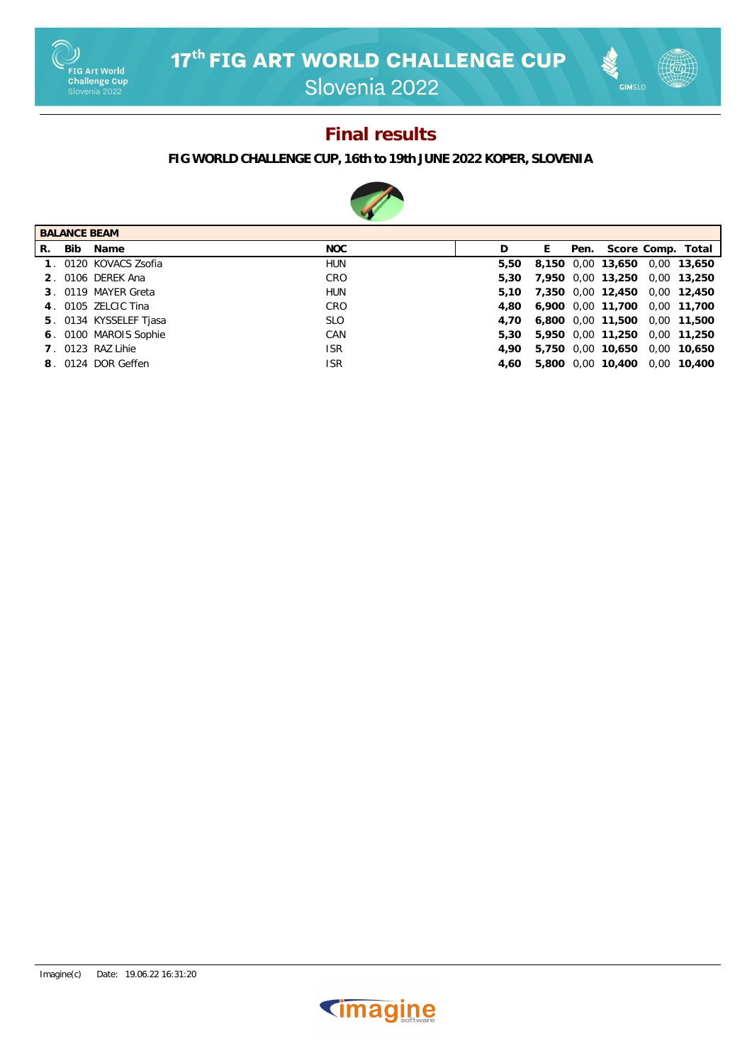

# **GIMSLO**

#### **Final results**



| <b>BALANCE BEAM</b> |      |                        |            |   |      |      |                   |      |                   |
|---------------------|------|------------------------|------------|---|------|------|-------------------|------|-------------------|
| R.                  | Bib. | Name                   | NOC        | D | Ŀ.   | Pen. |                   |      | Score Comp. Total |
|                     |      | 1. 0120 KOVACS Zsofia  | <b>HUN</b> |   | 5.50 |      | 8,150 0,00 13,650 |      | 0.00 13.650       |
|                     |      | 2. 0106 DEREK Ana      | CRO        |   | 5.30 |      | 7,950 0,00 13,250 |      | 0,00 13,250       |
|                     |      | 3. 0119 MAYER Greta    | <b>HUN</b> |   | 5.10 |      | 7,350 0,00 12,450 |      | 0.00 12.450       |
|                     |      | 4. 0105 ZELCIC Tina    | CRO        |   | 4.80 |      | 6,900 0,00 11,700 |      | 0.00 11.700       |
|                     |      | 5. 0134 KYSSELEF Tjasa | <b>SLO</b> |   | 4.70 |      | 6,800 0,00 11,500 |      | 0.00 11.500       |
|                     |      | 6. 0100 MAROIS Sophie  | CAN        |   | 5.30 |      | 5,950 0,00 11,250 |      | 0.00 11.250       |
|                     |      | 7 0123 RAZ Lihie       | <b>ISR</b> |   | 4.90 |      | 5,750 0,00 10,650 | 0.00 | 10,650            |
|                     |      | 8. 0124 DOR Geffen     | <b>ISR</b> |   | 4.60 |      | 5,800 0,00 10,400 |      | 0.00 10.400       |